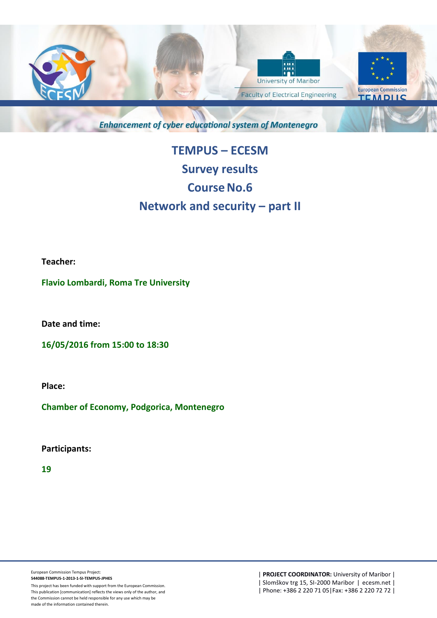

**Enhancement of cyber educational system of Montenegro** 

## **TEMPUS – ECESM Survey results Course No.6 Network and security – part II**

**Teacher:**

**Flavio Lombardi, Roma Tre University**

**Date and time:** 

**16/05/2016 from 15:00 to 18:30**

**Place:** 

**Chamber of Economy, Podgorica, Montenegro**

**Participants:** 

**19**

This project has been funded with support from the European Commission. This publication [communication] reflects the views only of the author, and the Commission cannot be held responsible for any use which may be made of the information contained therein.